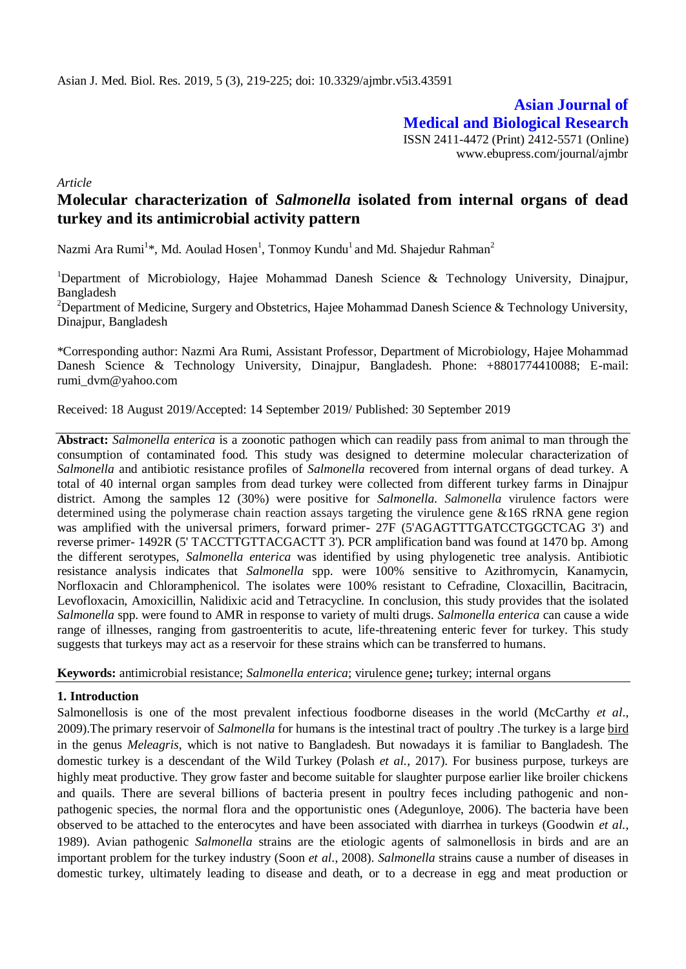**Asian Journal of Medical and Biological Research** ISSN 2411-4472 (Print) 2412-5571 (Online) www.ebupress.com/journal/ajmbr

*Article*

# **Molecular characterization of** *Salmonella* **isolated from internal organs of dead turkey and its antimicrobial activity pattern**

Nazmi Ara Rumi<sup>1</sup>\*, Md. Aoulad Hosen<sup>1</sup>, Tonmoy Kundu<sup>1</sup> and Md. Shajedur Rahman<sup>2</sup>

<sup>1</sup>Department of Microbiology, Hajee Mohammad Danesh Science & Technology University, Dinajpur, Bangladesh

<sup>2</sup>Department of Medicine, Surgery and Obstetrics, Hajee Mohammad Danesh Science  $\&$  Technology University, Dinajpur, Bangladesh

\*Corresponding author: Nazmi Ara Rumi, Assistant Professor, Department of Microbiology, Hajee Mohammad Danesh Science & Technology University, Dinajpur, Bangladesh. Phone: +8801774410088; E-mail: [rumi\\_dvm@yahoo.com](mailto:rumi_dvm@yahoo.com)

Received: 18 August 2019/Accepted: 14 September 2019/ Published: 30 September 2019

**Abstract:** *Salmonella enterica* is a zoonotic pathogen which can readily pass from animal to man through the consumption of contaminated food. This study was designed to determine molecular characterization of *Salmonella* and antibiotic resistance profiles of *Salmonella* recovered from internal organs of dead turkey. A total of 40 internal organ samples from dead turkey were collected from different turkey farms in Dinajpur district. Among the samples 12 (30%) were positive for *Salmonella*. *Salmonella* virulence factors were determined using the polymerase chain reaction assays targeting the virulence gene &16S rRNA gene region was amplified with the universal primers, forward primer- 27F (5'AGAGTTTGATCCTGGCTCAG 3') and reverse primer- 1492R (5' TACCTTGTTACGACTT 3'). PCR amplification band was found at 1470 bp. Among the different serotypes, *Salmonella enterica* was identified by using phylogenetic tree analysis. Antibiotic resistance analysis indicates that *Salmonella* spp. were 100% sensitive to Azithromycin, Kanamycin, Norfloxacin and Chloramphenicol. The isolates were 100% resistant to Cefradine, Cloxacillin, Bacitracin, Levofloxacin, Amoxicillin, Nalidixic acid and Tetracycline. In conclusion, this study provides that the isolated *Salmonella* spp. were found to AMR in response to variety of multi drugs*. Salmonella enterica* can cause a wide range of illnesses, ranging from gastroenteritis to acute, life-threatening enteric fever for turkey. This study suggests that turkeys may act as a reservoir for these strains which can be transferred to humans.

**Keywords:** antimicrobial resistance; *Salmonella enterica*; virulence gene**;** turkey; internal organs

#### **1. Introduction**

Salmonellosis is one of the most prevalent infectious foodborne diseases in the world (McCarthy *et al*., 2009).The primary reservoir of *Salmonella* for humans is the intestinal tract of poultry .The turkey is a large [bird](https://en.wikipedia.org/wiki/Bird) in the genus *Meleagris*, which is not native to Bangladesh. But nowadays it is familiar to Bangladesh. The domestic turkey is a descendant of the Wild Turkey (Polash *et al.*, 2017). For business purpose, turkeys are highly meat productive. They grow faster and become suitable for slaughter purpose earlier like broiler chickens and quails. There are several billions of bacteria present in poultry feces including pathogenic and nonpathogenic species, the normal flora and the opportunistic ones (Adegunloye, 2006). The bacteria have been observed to be attached to the enterocytes and have been associated with diarrhea in turkeys (Goodwin *et al.*, 1989). Avian pathogenic *Salmonella* strains are the etiologic agents of salmonellosis in birds and are an important problem for the turkey industry (Soon *et al*., 2008). *Salmonella* strains cause a number of diseases in domestic turkey, ultimately leading to disease and death, or to a decrease in egg and meat production or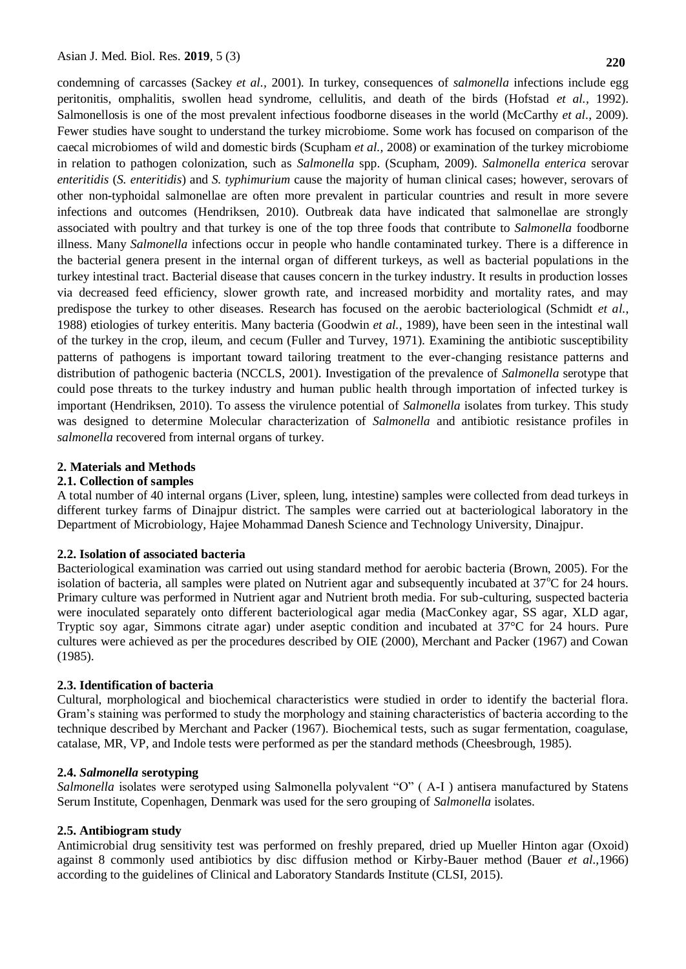condemning of carcasses (Sackey *et al.,* 2001). In turkey, consequences of *salmonella* infections include egg peritonitis, omphalitis, swollen head syndrome, cellulitis, and death of the birds (Hofstad *et al.,* 1992). Salmonellosis is one of the most prevalent infectious foodborne diseases in the world (McCarthy *et al*., 2009). Fewer studies have sought to understand the turkey microbiome. Some work has focused on comparison of the caecal microbiomes of wild and domestic birds (Scupham *et al.,* 2008) or examination of the turkey microbiome in relation to pathogen colonization, such as *Salmonella* spp. (Scupham, 2009). *Salmonella enterica* serovar *enteritidis* (*S. enteritidis*) and *S. typhimurium* cause the majority of human clinical cases; however, serovars of other non-typhoidal salmonellae are often more prevalent in particular countries and result in more severe infections and outcomes (Hendriksen, 2010). Outbreak data have indicated that salmonellae are strongly associated with poultry and that turkey is one of the top three foods that contribute to *Salmonella* foodborne illness. Many *Salmonella* infections occur in people who handle contaminated turkey. There is a difference in the bacterial genera present in the internal organ of different turkeys, as well as bacterial populations in the turkey intestinal tract. Bacterial disease that causes concern in the turkey industry. It results in production losses via decreased feed efficiency, slower growth rate, and increased morbidity and mortality rates, and may predispose the turkey to other diseases. Research has focused on the aerobic bacteriological (Schmidt *et al.*, 1988) etiologies of turkey enteritis. Many bacteria (Goodwin *et al.*, 1989), have been seen in the intestinal wall of the turkey in the crop, ileum, and cecum (Fuller and Turvey, 1971). Examining the antibiotic susceptibility patterns of pathogens is important toward tailoring treatment to the ever-changing resistance patterns and distribution of pathogenic bacteria (NCCLS, 2001). Investigation of the prevalence of *Salmonella* serotype that could pose threats to the turkey industry and human public health through importation of infected turkey is important (Hendriksen, 2010). To assess the virulence potential of *Salmonella* isolates from turkey. This study was designed to determine Molecular characterization of *Salmonella* and antibiotic resistance profiles in *salmonella* recovered from internal organs of turkey.

#### **2. Materials and Methods**

#### **2.1. Collection of samples**

A total number of 40 internal organs (Liver, spleen, lung, intestine) samples were collected from dead turkeys in different turkey farms of Dinajpur district. The samples were carried out at bacteriological laboratory in the Department of Microbiology, Hajee Mohammad Danesh Science and Technology University, Dinajpur.

#### **2.2. Isolation of associated bacteria**

Bacteriological examination was carried out using standard method for aerobic bacteria (Brown, 2005). For the isolation of bacteria, all samples were plated on Nutrient agar and subsequently incubated at  $37^{\circ}$ C for 24 hours. Primary culture was performed in Nutrient agar and Nutrient broth media. For sub-culturing, suspected bacteria were inoculated separately onto different bacteriological agar media (MacConkey agar, SS agar, XLD agar, Tryptic soy agar, Simmons citrate agar) under aseptic condition and incubated at 37°C for 24 hours. Pure cultures were achieved as per the procedures described by OIE (2000), Merchant and Packer (1967) and Cowan (1985).

#### **2.3. Identification of bacteria**

Cultural, morphological and biochemical characteristics were studied in order to identify the bacterial flora. Gram's staining was performed to study the morphology and staining characteristics of bacteria according to the technique described by Merchant and Packer (1967). Biochemical tests, such as sugar fermentation, coagulase, catalase, MR, VP, and Indole tests were performed as per the standard methods (Cheesbrough, 1985).

#### **2.4.** *Salmonella* **serotyping**

*Salmonella* isolates were serotyped using Salmonella polyvalent "O" ( A-I ) antisera manufactured by Statens Serum Institute, Copenhagen, Denmark was used for the sero grouping of *Salmonella* isolates.

#### **2.5. Antibiogram study**

Antimicrobial drug sensitivity test was performed on freshly prepared, dried up Mueller Hinton agar (Oxoid) against 8 commonly used antibiotics by disc diffusion method or Kirby-Bauer method (Bauer *et al.,*1966) according to the guidelines of Clinical and Laboratory Standards Institute (CLSI, 2015).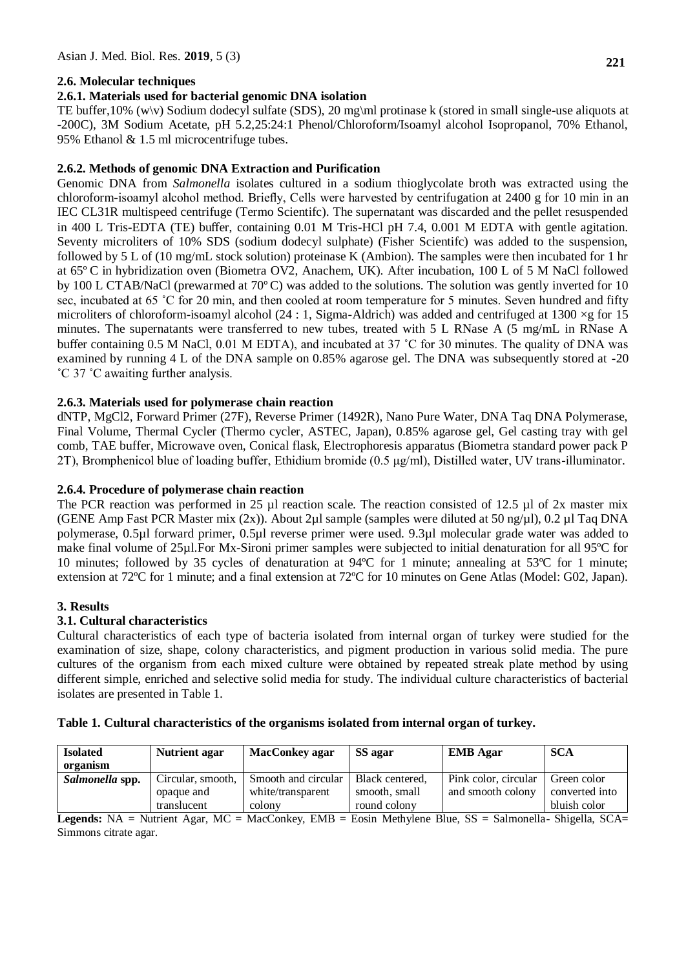# **2.6. Molecular techniques**

### **2.6.1. Materials used for bacterial genomic DNA isolation**

TE buffer,10% (w\v) Sodium dodecyl sulfate (SDS), 20 mg\ml protinase k (stored in small single-use aliquots at -200C), 3M Sodium Acetate, pH 5.2,25:24:1 Phenol/Chloroform/Isoamyl alcohol Isopropanol, 70% Ethanol, 95% Ethanol & 1.5 ml microcentrifuge tubes.

### **2.6.2. Methods of genomic DNA Extraction and Purification**

Genomic DNA from *Salmonella* isolates cultured in a sodium thioglycolate broth was extracted using the chloroform-isoamyl alcohol method. Briefly, Cells were harvested by centrifugation at 2400 g for 10 min in an IEC CL31R multispeed centrifuge (Termo Scientifc). The supernatant was discarded and the pellet resuspended in 400 L Tris-EDTA (TE) buffer, containing 0.01 M Tris-HCl pH 7.4, 0.001 M EDTA with gentle agitation. Seventy microliters of 10% SDS (sodium dodecyl sulphate) (Fisher Scientifc) was added to the suspension, followed by 5 L of (10 mg/mL stock solution) proteinase K (Ambion). The samples were then incubated for 1 hr at 65º C in hybridization oven (Biometra OV2, Anachem, UK). After incubation, 100 L of 5 M NaCl followed by 100 L CTAB/NaCl (prewarmed at 70º C) was added to the solutions. The solution was gently inverted for 10 sec, incubated at 65 ˚C for 20 min, and then cooled at room temperature for 5 minutes. Seven hundred and fifty microliters of chloroform-isoamyl alcohol (24 : 1, Sigma-Aldrich) was added and centrifuged at 1300  $\times$ g for 15 minutes. The supernatants were transferred to new tubes, treated with 5 L RNase A (5 mg/mL in RNase A buffer containing 0.5 M NaCl, 0.01 M EDTA), and incubated at 37 ˚C for 30 minutes. The quality of DNA was examined by running 4 L of the DNA sample on 0.85% agarose gel. The DNA was subsequently stored at -20 ˚C 37 ˚C awaiting further analysis.

### **2.6.3. Materials used for polymerase chain reaction**

dNTP, MgCl2, Forward Primer (27F), Reverse Primer (1492R), Nano Pure Water, DNA Taq DNA Polymerase, Final Volume, Thermal Cycler (Thermo cycler, ASTEC, Japan), 0.85% agarose gel, Gel casting tray with gel comb, TAE buffer, Microwave oven, Conical flask, Electrophoresis apparatus (Biometra standard power pack P 2T), Bromphenicol blue of loading buffer, Ethidium bromide (0.5 μg/ml), Distilled water, UV trans-illuminator.

### **2.6.4. Procedure of polymerase chain reaction**

The PCR reaction was performed in 25  $\mu$ l reaction scale. The reaction consisted of 12.5  $\mu$ l of 2x master mix (GENE Amp Fast PCR Master mix  $(2x)$ ). About 2µl sample (samples were diluted at 50 ng/µl), 0.2 µl Taq DNA polymerase, 0.5µl forward primer, 0.5µl reverse primer were used. 9.3µl molecular grade water was added to make final volume of 25µl.For Mx-Sironi primer samples were subjected to initial denaturation for all 95ºC for 10 minutes; followed by 35 cycles of denaturation at 94ºC for 1 minute; annealing at 53ºC for 1 minute; extension at 72ºC for 1 minute; and a final extension at 72ºC for 10 minutes on Gene Atlas (Model: G02, Japan).

#### **3. Results**

#### **3.1. Cultural characteristics**

Cultural characteristics of each type of bacteria isolated from internal organ of turkey were studied for the examination of size, shape, colony characteristics, and pigment production in various solid media. The pure cultures of the organism from each mixed culture were obtained by repeated streak plate method by using different simple, enriched and selective solid media for study. The individual culture characteristics of bacterial isolates are presented in Table 1.

| <b>Isolated</b><br>organism | <b>Nutrient agar</b> | <b>MacConkey agar</b> | SS agar         | <b>EMB</b> Agar      | <b>SCA</b>     |
|-----------------------------|----------------------|-----------------------|-----------------|----------------------|----------------|
| Salmonella spp.             | Circular, smooth,    | Smooth and circular   | Black centered, | Pink color, circular | Green color    |
|                             | opaque and           | white/transparent     | smooth, small   | and smooth colony    | converted into |
|                             | translucent          | colony                | round colony    |                      | bluish color   |

**Table 1. Cultural characteristics of the organisms isolated from internal organ of turkey.**

Legends: NA = Nutrient Agar, MC = MacConkey, EMB = Eosin Methylene Blue, SS = Salmonella- Shigella, SCA= Simmons citrate agar.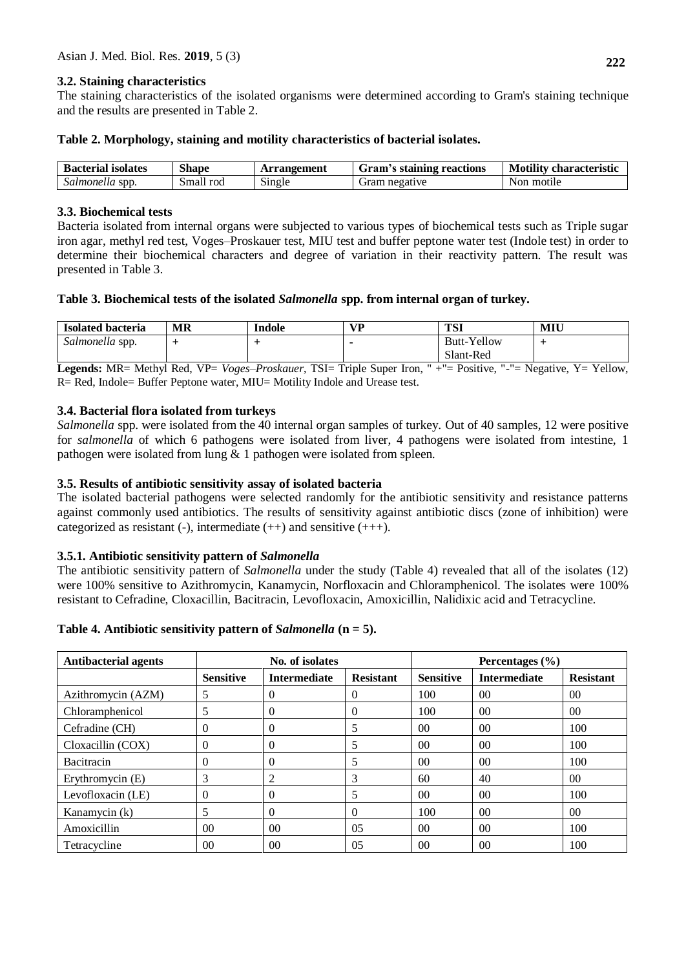# **3.2. Staining characteristics**

The staining characteristics of the isolated organisms were determined according to Gram's staining technique and the results are presented in Table 2.

### **Table 2. Morphology, staining and motility characteristics of bacterial isolates.**

| <b>Bacterial isolates</b> | <b>Shape</b> | <b>Arrangement</b> | <b>Gram's staining reactions</b> | <b>Motility characteristic</b> |
|---------------------------|--------------|--------------------|----------------------------------|--------------------------------|
| Salmonetta spp.           | Small<br>roc | Single             | negative                         | motile<br>Non                  |

# **3.3. Biochemical tests**

Bacteria isolated from internal organs were subjected to various types of biochemical tests such as Triple sugar iron agar, methyl red test, Voges–Proskauer test, MIU test and buffer peptone water test (Indole test) in order to determine their biochemical characters and degree of variation in their reactivity pattern. The result was presented in Table 3.

# **Table 3. Biochemical tests of the isolated** *Salmonella* **spp. from internal organ of turkey.**

| Isolated bacteria               | МR | Indole | $V$ D | <b>TSI</b>         | MIU |
|---------------------------------|----|--------|-------|--------------------|-----|
| $\mathbf{H}$<br>Salmonella spp. |    |        |       | <b>Butt-Yellow</b> |     |
|                                 |    |        |       | Slant-Red          |     |

**Legends:** MR= Methyl Red, VP= *Voges*–*Proskauer*, TSI= Triple Super Iron, " +"= Positive, "-"= Negative, Y= Yellow, R= Red, Indole= Buffer Peptone water, MIU= Motility Indole and Urease test.

# **3.4. Bacterial flora isolated from turkeys**

*Salmonella* spp. were isolated from the 40 internal organ samples of turkey. Out of 40 samples, 12 were positive for *salmonella* of which 6 pathogens were isolated from liver, 4 pathogens were isolated from intestine, 1 pathogen were isolated from lung & 1 pathogen were isolated from spleen.

# **3.5. Results of antibiotic sensitivity assay of isolated bacteria**

The isolated bacterial pathogens were selected randomly for the antibiotic sensitivity and resistance patterns against commonly used antibiotics. The results of sensitivity against antibiotic discs (zone of inhibition) were categorized as resistant (-), intermediate  $(++)$  and sensitive  $(++)$ .

# **3.5.1. Antibiotic sensitivity pattern of** *Salmonella*

The antibiotic sensitivity pattern of *Salmonella* under the study (Table 4) revealed that all of the isolates (12) were 100% sensitive to Azithromycin, Kanamycin, Norfloxacin and Chloramphenicol. The isolates were 100% resistant to Cefradine, Cloxacillin, Bacitracin, Levofloxacin, Amoxicillin, Nalidixic acid and Tetracycline.

# **Table 4. Antibiotic sensitivity pattern of** *Salmonella* **(n = 5).**

| <b>Antibacterial agents</b> | No. of isolates  |                     |                  | Percentages (%)  |                     |                  |
|-----------------------------|------------------|---------------------|------------------|------------------|---------------------|------------------|
|                             | <b>Sensitive</b> | <b>Intermediate</b> | <b>Resistant</b> | <b>Sensitive</b> | <b>Intermediate</b> | <b>Resistant</b> |
| Azithromycin (AZM)          | 5                | $\Omega$            | 0                | 100              | 0 <sup>0</sup>      | 0 <sup>0</sup>   |
| Chloramphenicol             | 5                | $\Omega$            | 0                | 100              | 0 <sup>0</sup>      | 0 <sup>0</sup>   |
| Cefradine (CH)              | $\Omega$         | $\Omega$            | 5                | 00 <sup>1</sup>  | 0 <sup>0</sup>      | 100              |
| Cloxacillin (COX)           | $\Omega$         | $\theta$            | 5                | 0 <sup>0</sup>   | 0 <sup>0</sup>      | 100              |
| <b>Bacitracin</b>           | $\Omega$         | $\Omega$            | 5                | 0 <sup>0</sup>   | 00                  | 100              |
| Erythromycin (E)            | 3                | 2                   | 3                | 60               | 40                  | 00 <sup>1</sup>  |
| Levofloxacin (LE)           | $\theta$         | $\theta$            | 5                | 0 <sup>0</sup>   | 0 <sup>0</sup>      | 100              |
| Kanamycin (k)               | 5                | $\Omega$            | 0                | 100              | 0 <sup>0</sup>      | 00 <sup>1</sup>  |
| Amoxicillin                 | 0 <sup>0</sup>   | 0 <sup>0</sup>      | 05               | 0 <sup>0</sup>   | 00                  | 100              |
| Tetracycline                | 00               | 00                  | 05               | $00\,$           | 00                  | 100              |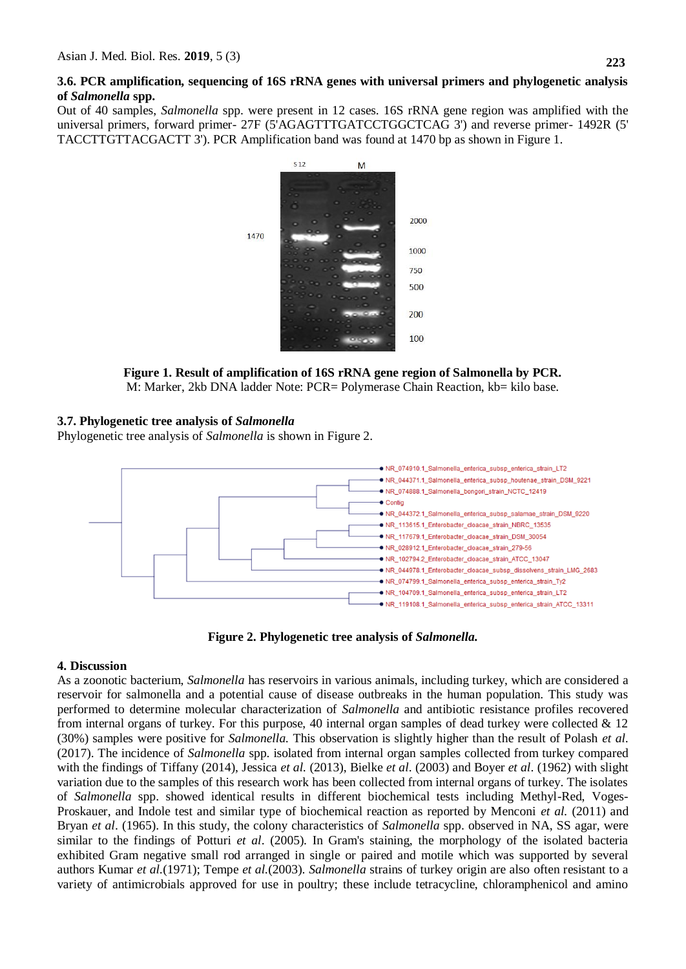### **3.6. PCR amplification, sequencing of 16S rRNA genes with universal primers and phylogenetic analysis of** *Salmonella* **spp.**

Out of 40 samples, *Salmonella* spp. were present in 12 cases. 16S rRNA gene region was amplified with the universal primers, forward primer- 27F (5'AGAGTTTGATCCTGGCTCAG 3') and reverse primer- 1492R (5' TACCTTGTTACGACTT 3'). PCR Amplification band was found at 1470 bp as shown in Figure 1.



**Figure 1. Result of amplification of 16S rRNA gene region of Salmonella by PCR.** M: Marker, 2kb DNA ladder Note: PCR= Polymerase Chain Reaction, kb= kilo base.

# **3.7. Phylogenetic tree analysis of** *Salmonella*

Phylogenetic tree analysis of *Salmonella* is shown in Figure 2.



**Figure 2. Phylogenetic tree analysis of** *Salmonella.*

# **4. Discussion**

As a zoonotic bacterium, *Salmonella* has reservoirs in various animals, including turkey, which are considered a reservoir for salmonella and a potential cause of disease outbreaks in the human population. This study was performed to determine molecular characterization of *Salmonella* and antibiotic resistance profiles recovered from internal organs of turkey. For this purpose, 40 internal organ samples of dead turkey were collected & 12 (30%) samples were positive for *Salmonella.* This observation is slightly higher than the result of Polash *et al.*  (2017). The incidence of *Salmonella* spp. isolated from internal organ samples collected from turkey compared with the findings of Tiffany (2014), Jessica *et al.* (2013), Bielke *et al*. (2003) and Boyer *et al*. (1962) with slight variation due to the samples of this research work has been collected from internal organs of turkey. The isolates of *Salmonella* spp. showed identical results in different biochemical tests including Methyl-Red, Voges-Proskauer, and Indole test and similar type of biochemical reaction as reported by Menconi *et al.* (2011) and Bryan *et al*. (1965). In this study, the colony characteristics of *Salmonella* spp. observed in NA, SS agar, were similar to the findings of Potturi *et al*. (2005). In Gram's staining, the morphology of the isolated bacteria exhibited Gram negative small rod arranged in single or paired and motile which was supported by several authors Kumar *et al.*(1971); Tempe *et al.*(2003). *Salmonella* strains of turkey origin are also often resistant to a variety of antimicrobials approved for use in poultry; these include tetracycline, chloramphenicol and amino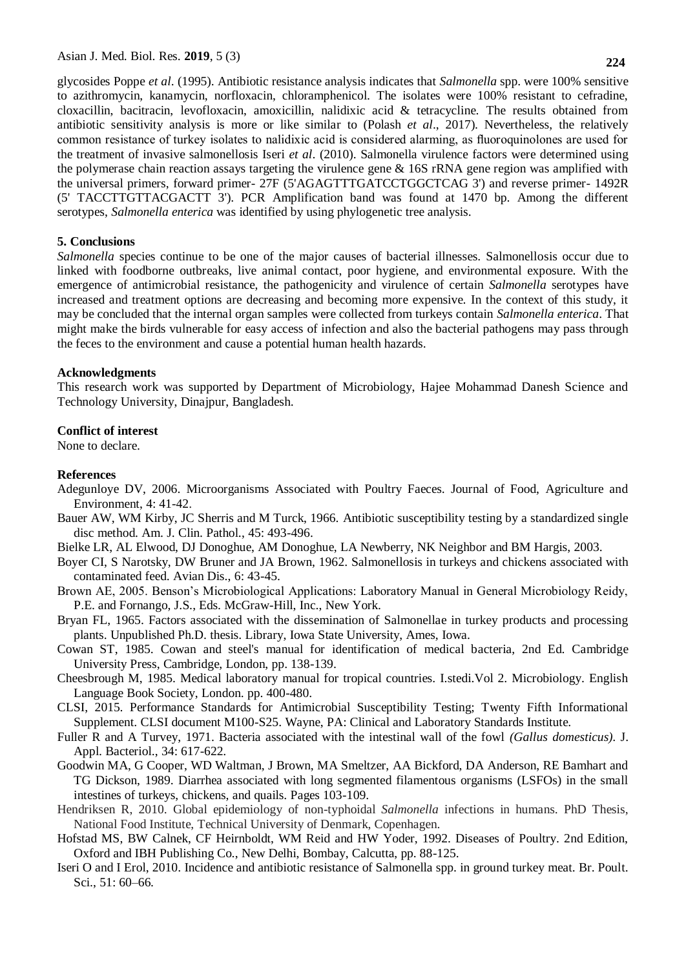Asian J. Med. Biol. Res. **2019**, 5 (3)

glycosides Poppe *et al*. (1995). Antibiotic resistance analysis indicates that *Salmonella* spp. were 100% sensitive to azithromycin, kanamycin, norfloxacin, chloramphenicol. The isolates were 100% resistant to cefradine, cloxacillin, bacitracin, levofloxacin, amoxicillin, nalidixic acid & tetracycline. The results obtained from antibiotic sensitivity analysis is more or like similar to (Polash *et al*., 2017). Nevertheless, the relatively common resistance of turkey isolates to nalidixic acid is considered alarming, as fluoroquinolones are used for the treatment of invasive salmonellosis Iseri *et al*. (2010). Salmonella virulence factors were determined using the polymerase chain reaction assays targeting the virulence gene & 16S rRNA gene region was amplified with the universal primers, forward primer- 27F (5'AGAGTTTGATCCTGGCTCAG 3') and reverse primer- 1492R (5' TACCTTGTTACGACTT 3'). PCR Amplification band was found at 1470 bp. Among the different

#### **5. Conclusions**

*Salmonella* species continue to be one of the major causes of bacterial illnesses. Salmonellosis occur due to linked with foodborne outbreaks, live animal contact, poor hygiene, and environmental exposure. With the emergence of antimicrobial resistance, the pathogenicity and virulence of certain *Salmonella* serotypes have increased and treatment options are decreasing and becoming more expensive. In the context of this study, it may be concluded that the internal organ samples were collected from turkeys contain *Salmonella enterica*. That might make the birds vulnerable for easy access of infection and also the bacterial pathogens may pass through the feces to the environment and cause a potential human health hazards.

serotypes, *Salmonella enterica* was identified by using phylogenetic tree analysis.

#### **Acknowledgments**

This research work was supported by Department of Microbiology, Hajee Mohammad Danesh Science and Technology University, Dinajpur, Bangladesh.

#### **Conflict of interest**

None to declare.

#### **References**

- Adegunloye DV, 2006. Microorganisms Associated with Poultry Faeces. Journal of Food, Agriculture and Environment, 4: 41-42.
- Bauer AW, WM Kirby, JC Sherris and M Turck, 1966. Antibiotic susceptibility testing by a standardized single disc method. Am. J. Clin. Pathol., 45: 493-496.
- Bielke LR, AL Elwood, DJ Donoghue, AM Donoghue, LA Newberry, NK Neighbor and BM Hargis, 2003.
- Boyer CI, S Narotsky, DW Bruner and JA Brown, 1962. Salmonellosis in turkeys and chickens associated with contaminated feed. Avian Dis., 6: 43-45.
- Brown AE, 2005. Benson's Microbiological Applications: Laboratory Manual in General Microbiology Reidy, P.E. and Fornango, J.S., Eds. McGraw-Hill, Inc., New York.
- Bryan FL, 1965. Factors associated with the dissemination of Salmonellae in turkey products and processing plants. Unpublished Ph.D. thesis. Library, Iowa State University, Ames, Iowa.
- Cowan ST, 1985. Cowan and steel's manual for identification of medical bacteria, 2nd Ed. Cambridge University Press, Cambridge, London, pp. 138-139.
- Cheesbrough M, 1985. Medical laboratory manual for tropical countries. I.stedi.Vol 2. Microbiology. English Language Book Society, London. pp. 400-480.
- CLSI, 2015. Performance Standards for Antimicrobial Susceptibility Testing; Twenty Fifth Informational Supplement. CLSI document M100-S25. Wayne, PA: Clinical and Laboratory Standards Institute.
- Fuller R and A Turvey, 1971. Bacteria associated with the intestinal wall of the fowl *(Gallus domesticus).* J. Appl. Bacteriol., 34: 617-622.
- Goodwin MA, G Cooper, WD Waltman, J Brown, MA Smeltzer, AA Bickford, DA Anderson, RE Bamhart and TG Dickson, 1989. Diarrhea associated with long segmented filamentous organisms (LSFOs) in the small intestines of turkeys, chickens, and quails. Pages 103-109.
- Hendriksen R, 2010. Global epidemiology of non-typhoidal *Salmonella* infections in humans. PhD Thesis, National Food Institute, Technical University of Denmark, Copenhagen.
- Hofstad MS, BW Calnek, CF Heirnboldt, WM Reid and HW Yoder, 1992. Diseases of Poultry. 2nd Edition, Oxford and IBH Publishing Co., New Delhi, Bombay, Calcutta, pp. 88-125.
- Iseri O and I Erol, 2010. Incidence and antibiotic resistance of Salmonella spp. in ground turkey meat. Br. Poult. Sci., 51: 60–66.